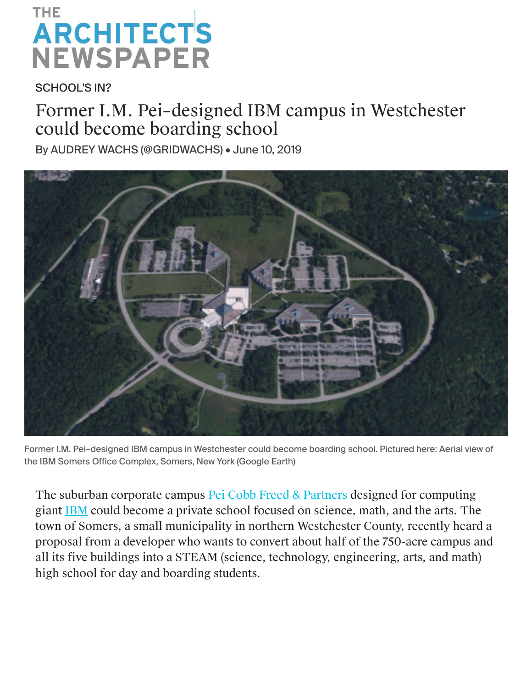## THE **ARCHITECTS NEWSPAPER**

SCHOOL'S IN?

## Former I.M. Pei–designed IBM campus in Westchester could become boarding school

By [AUDREY WACHS](https://archpaper.com/author/awachs/) [\(@GRIDWACHS](https://twitter.com/gridwachs)) • June 10, 2019



Former I.M. Pei–designed IBM campus in Westchester could become boarding school. Pictured here: Aerial view of the IBM Somers Office Complex, Somers, New York (Google Earth)

The suburban corporate campus **[Pei Cobb Freed & Partners](https://archpaper.com/tag/pei-cobb-freed/) designed for computing** giant [IBM](https://archpaper.com/tag/ibm) could become a private school focused on science, math, and the arts. The town of Somers, a small municipality in northern Westchester County, recently heard a proposal from a developer who wants to convert about half of the 750-acre campus and all its five buildings into a STEAM (science, technology, engineering, arts, and math) high school for day and boarding students.